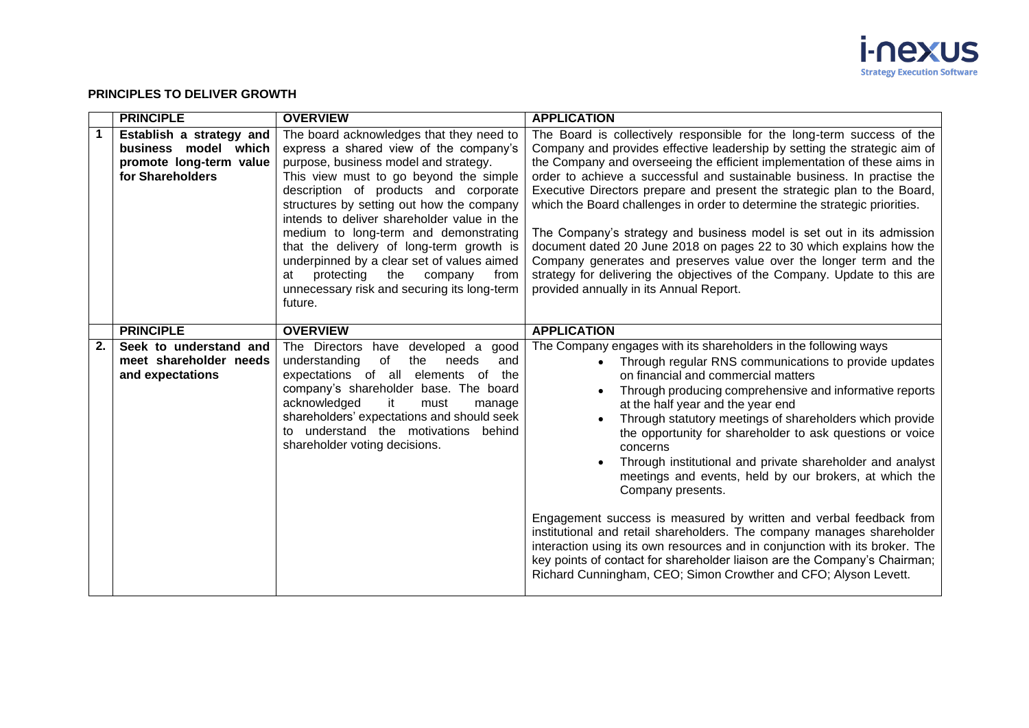

## **PRINCIPLES TO DELIVER GROWTH**

|             | <b>PRINCIPLE</b>                                                                                | <b>OVERVIEW</b>                                                                                                                                                                                                                                                                                                                                                                                                                                                                                                                                       | <b>APPLICATION</b>                                                                                                                                                                                                                                                                                                                                                                                                                                                                                                                                                                                                                                                                                                                                                                                                                                                                                                              |
|-------------|-------------------------------------------------------------------------------------------------|-------------------------------------------------------------------------------------------------------------------------------------------------------------------------------------------------------------------------------------------------------------------------------------------------------------------------------------------------------------------------------------------------------------------------------------------------------------------------------------------------------------------------------------------------------|---------------------------------------------------------------------------------------------------------------------------------------------------------------------------------------------------------------------------------------------------------------------------------------------------------------------------------------------------------------------------------------------------------------------------------------------------------------------------------------------------------------------------------------------------------------------------------------------------------------------------------------------------------------------------------------------------------------------------------------------------------------------------------------------------------------------------------------------------------------------------------------------------------------------------------|
| $\mathbf 1$ | Establish a strategy and<br>business model which<br>promote long-term value<br>for Shareholders | The board acknowledges that they need to<br>express a shared view of the company's<br>purpose, business model and strategy.<br>This view must to go beyond the simple<br>description of products and corporate<br>structures by setting out how the company<br>intends to deliver shareholder value in the<br>medium to long-term and demonstrating<br>that the delivery of long-term growth is<br>underpinned by a clear set of values aimed<br>protecting<br>the<br>company<br>from<br>at<br>unnecessary risk and securing its long-term<br>future. | The Board is collectively responsible for the long-term success of the<br>Company and provides effective leadership by setting the strategic aim of<br>the Company and overseeing the efficient implementation of these aims in<br>order to achieve a successful and sustainable business. In practise the<br>Executive Directors prepare and present the strategic plan to the Board,<br>which the Board challenges in order to determine the strategic priorities.<br>The Company's strategy and business model is set out in its admission<br>document dated 20 June 2018 on pages 22 to 30 which explains how the<br>Company generates and preserves value over the longer term and the<br>strategy for delivering the objectives of the Company. Update to this are<br>provided annually in its Annual Report.                                                                                                             |
|             | <b>PRINCIPLE</b>                                                                                | <b>OVERVIEW</b>                                                                                                                                                                                                                                                                                                                                                                                                                                                                                                                                       | <b>APPLICATION</b>                                                                                                                                                                                                                                                                                                                                                                                                                                                                                                                                                                                                                                                                                                                                                                                                                                                                                                              |
| 2.          | Seek to understand and<br>meet shareholder needs<br>and expectations                            | The Directors have developed a good<br>understanding<br>of<br>the<br>needs<br>and<br>expectations of all elements of the<br>company's shareholder base. The board<br>acknowledged<br>it<br>must<br>manage<br>shareholders' expectations and should seek<br>understand the motivations behind<br>to<br>shareholder voting decisions.                                                                                                                                                                                                                   | The Company engages with its shareholders in the following ways<br>Through regular RNS communications to provide updates<br>on financial and commercial matters<br>Through producing comprehensive and informative reports<br>at the half year and the year end<br>Through statutory meetings of shareholders which provide<br>the opportunity for shareholder to ask questions or voice<br>concerns<br>Through institutional and private shareholder and analyst<br>meetings and events, held by our brokers, at which the<br>Company presents.<br>Engagement success is measured by written and verbal feedback from<br>institutional and retail shareholders. The company manages shareholder<br>interaction using its own resources and in conjunction with its broker. The<br>key points of contact for shareholder liaison are the Company's Chairman;<br>Richard Cunningham, CEO; Simon Crowther and CFO; Alyson Levett. |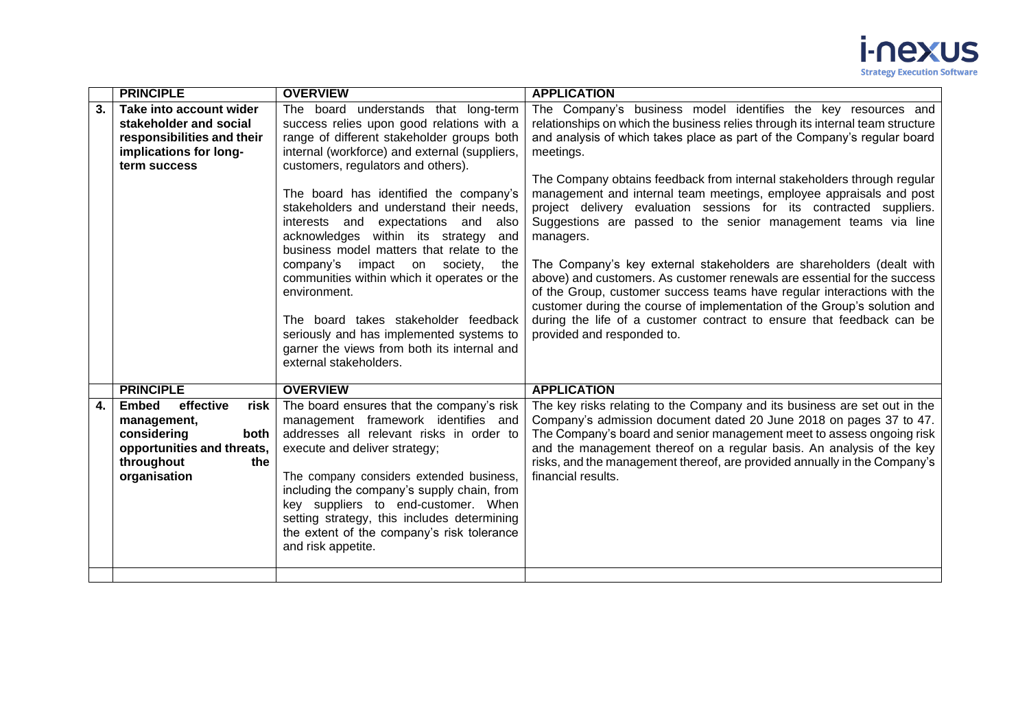

|    | <b>PRINCIPLE</b>                                                                                                                           | <b>OVERVIEW</b>                                                                                                                                                                                                                                                                                                                                                                                                                                                                                                                                                                                                                                                                                                   | <b>APPLICATION</b>                                                                                                                                                                                                                                                                                                                                                                                                                                                                                                                                                                                                                                                                                                                                                                                                                                                                                                                                                |
|----|--------------------------------------------------------------------------------------------------------------------------------------------|-------------------------------------------------------------------------------------------------------------------------------------------------------------------------------------------------------------------------------------------------------------------------------------------------------------------------------------------------------------------------------------------------------------------------------------------------------------------------------------------------------------------------------------------------------------------------------------------------------------------------------------------------------------------------------------------------------------------|-------------------------------------------------------------------------------------------------------------------------------------------------------------------------------------------------------------------------------------------------------------------------------------------------------------------------------------------------------------------------------------------------------------------------------------------------------------------------------------------------------------------------------------------------------------------------------------------------------------------------------------------------------------------------------------------------------------------------------------------------------------------------------------------------------------------------------------------------------------------------------------------------------------------------------------------------------------------|
| 3. | Take into account wider<br>stakeholder and social<br>responsibilities and their<br>implications for long-<br>term success                  | The board understands that long-term<br>success relies upon good relations with a<br>range of different stakeholder groups both<br>internal (workforce) and external (suppliers,<br>customers, regulators and others).<br>The board has identified the company's<br>stakeholders and understand their needs,<br>interests and expectations and also<br>acknowledges within its strategy<br>and<br>business model matters that relate to the<br>company's<br>impact on society,<br>the<br>communities within which it operates or the<br>environment.<br>The board takes stakeholder feedback<br>seriously and has implemented systems to<br>garner the views from both its internal and<br>external stakeholders. | The Company's business model identifies the key resources and<br>relationships on which the business relies through its internal team structure<br>and analysis of which takes place as part of the Company's regular board<br>meetings.<br>The Company obtains feedback from internal stakeholders through regular<br>management and internal team meetings, employee appraisals and post<br>project delivery evaluation sessions for its contracted suppliers.<br>Suggestions are passed to the senior management teams via line<br>managers.<br>The Company's key external stakeholders are shareholders (dealt with<br>above) and customers. As customer renewals are essential for the success<br>of the Group, customer success teams have regular interactions with the<br>customer during the course of implementation of the Group's solution and<br>during the life of a customer contract to ensure that feedback can be<br>provided and responded to. |
|    | <b>PRINCIPLE</b>                                                                                                                           | <b>OVERVIEW</b>                                                                                                                                                                                                                                                                                                                                                                                                                                                                                                                                                                                                                                                                                                   | <b>APPLICATION</b>                                                                                                                                                                                                                                                                                                                                                                                                                                                                                                                                                                                                                                                                                                                                                                                                                                                                                                                                                |
| 4. | <b>Embed</b><br>effective<br>risk<br>management,<br>considering<br>both<br>opportunities and threats,<br>throughout<br>the<br>organisation | The board ensures that the company's risk<br>management framework identifies and<br>addresses all relevant risks in order to<br>execute and deliver strategy;<br>The company considers extended business,<br>including the company's supply chain, from<br>key suppliers to end-customer. When<br>setting strategy, this includes determining<br>the extent of the company's risk tolerance<br>and risk appetite.                                                                                                                                                                                                                                                                                                 | The key risks relating to the Company and its business are set out in the<br>Company's admission document dated 20 June 2018 on pages 37 to 47.<br>The Company's board and senior management meet to assess ongoing risk<br>and the management thereof on a regular basis. An analysis of the key<br>risks, and the management thereof, are provided annually in the Company's<br>financial results.                                                                                                                                                                                                                                                                                                                                                                                                                                                                                                                                                              |
|    |                                                                                                                                            |                                                                                                                                                                                                                                                                                                                                                                                                                                                                                                                                                                                                                                                                                                                   |                                                                                                                                                                                                                                                                                                                                                                                                                                                                                                                                                                                                                                                                                                                                                                                                                                                                                                                                                                   |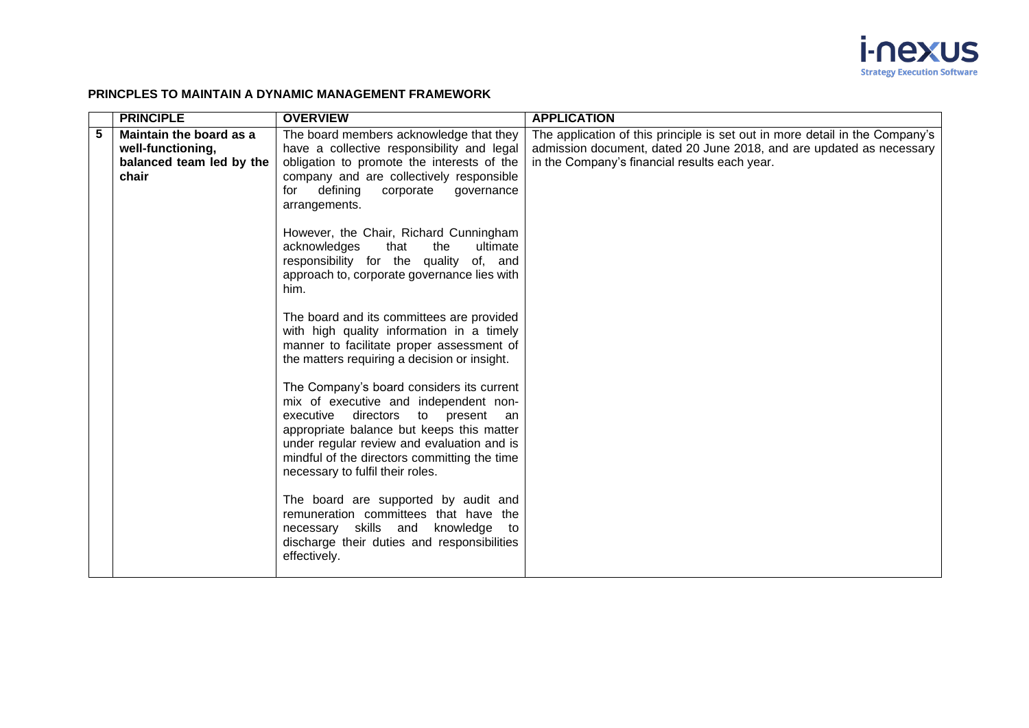

## **PRINCPLES TO MAINTAIN A DYNAMIC MANAGEMENT FRAMEWORK**

|   | <b>PRINCIPLE</b>                                                                  | <b>OVERVIEW</b>                                                                                                                                                                                                                                                                                           | <b>APPLICATION</b>                                                                                                                                                                                    |
|---|-----------------------------------------------------------------------------------|-----------------------------------------------------------------------------------------------------------------------------------------------------------------------------------------------------------------------------------------------------------------------------------------------------------|-------------------------------------------------------------------------------------------------------------------------------------------------------------------------------------------------------|
| 5 | Maintain the board as a<br>well-functioning,<br>balanced team led by the<br>chair | The board members acknowledge that they<br>have a collective responsibility and legal<br>obligation to promote the interests of the<br>company and are collectively responsible<br>for defining<br>corporate<br>governance<br>arrangements.                                                               | The application of this principle is set out in more detail in the Company's<br>admission document, dated 20 June 2018, and are updated as necessary<br>in the Company's financial results each year. |
|   |                                                                                   | However, the Chair, Richard Cunningham<br>acknowledges<br>that<br>ultimate<br>the<br>responsibility for the quality of, and<br>approach to, corporate governance lies with<br>him.                                                                                                                        |                                                                                                                                                                                                       |
|   |                                                                                   | The board and its committees are provided<br>with high quality information in a timely<br>manner to facilitate proper assessment of<br>the matters requiring a decision or insight.                                                                                                                       |                                                                                                                                                                                                       |
|   |                                                                                   | The Company's board considers its current<br>mix of executive and independent non-<br>executive directors to present<br>an<br>appropriate balance but keeps this matter<br>under regular review and evaluation and is<br>mindful of the directors committing the time<br>necessary to fulfil their roles. |                                                                                                                                                                                                       |
|   |                                                                                   | The board are supported by audit and<br>remuneration committees that have the<br>necessary skills and knowledge to<br>discharge their duties and responsibilities<br>effectively.                                                                                                                         |                                                                                                                                                                                                       |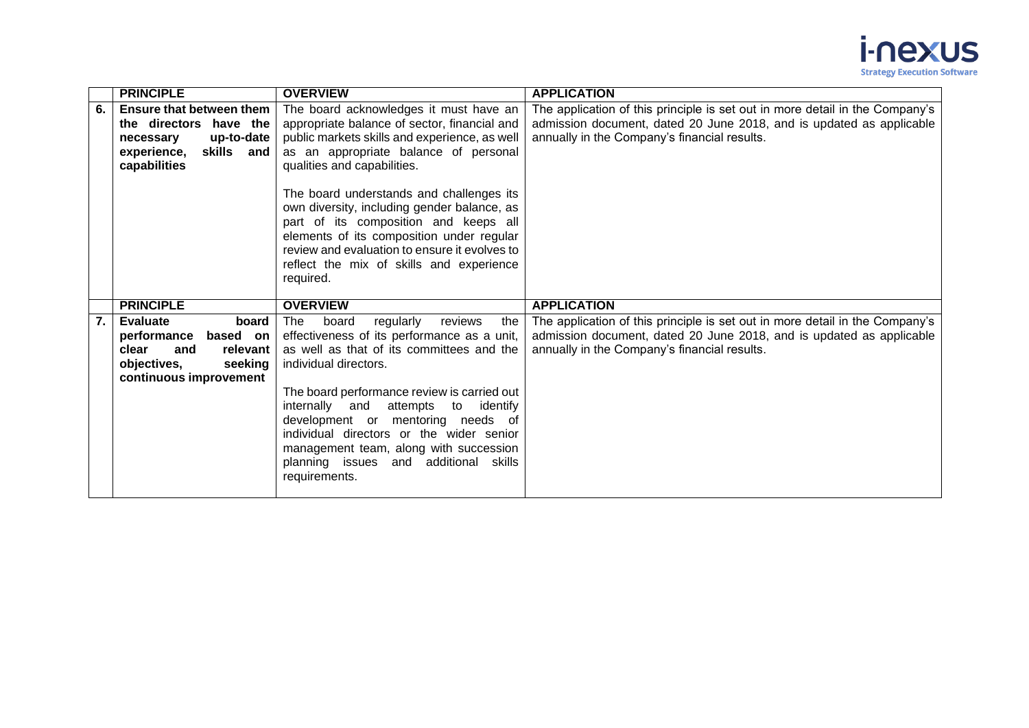

|    | <b>PRINCIPLE</b>                                                                                                                    | <b>OVERVIEW</b>                                                                                                                                                                                                                                                                                                                                                                                                                                                                                            | <b>APPLICATION</b>                                                                                                                                                                                   |
|----|-------------------------------------------------------------------------------------------------------------------------------------|------------------------------------------------------------------------------------------------------------------------------------------------------------------------------------------------------------------------------------------------------------------------------------------------------------------------------------------------------------------------------------------------------------------------------------------------------------------------------------------------------------|------------------------------------------------------------------------------------------------------------------------------------------------------------------------------------------------------|
| 6. | Ensure that between them<br>the directors have the<br>up-to-date<br>necessary<br>experience,<br>skills and<br>capabilities          | The board acknowledges it must have an<br>appropriate balance of sector, financial and<br>public markets skills and experience, as well<br>as an appropriate balance of personal<br>qualities and capabilities.<br>The board understands and challenges its<br>own diversity, including gender balance, as<br>part of its composition and keeps all<br>elements of its composition under regular<br>review and evaluation to ensure it evolves to<br>reflect the mix of skills and experience<br>required. | The application of this principle is set out in more detail in the Company's<br>admission document, dated 20 June 2018, and is updated as applicable<br>annually in the Company's financial results. |
|    | <b>PRINCIPLE</b>                                                                                                                    | <b>OVERVIEW</b>                                                                                                                                                                                                                                                                                                                                                                                                                                                                                            | <b>APPLICATION</b>                                                                                                                                                                                   |
| 7. | <b>Evaluate</b><br>board<br>based on<br>performance<br>clear<br>relevant<br>and<br>objectives,<br>seeking<br>continuous improvement | <b>The</b><br>board<br>regularly<br>reviews<br>the<br>effectiveness of its performance as a unit,<br>as well as that of its committees and the<br>individual directors.<br>The board performance review is carried out<br>internally<br>and<br>attempts<br>to<br>identify<br>development or mentoring needs of<br>individual directors or the wider senior<br>management team, along with succession<br>planning issues and additional skills<br>requirements.                                             | The application of this principle is set out in more detail in the Company's<br>admission document, dated 20 June 2018, and is updated as applicable<br>annually in the Company's financial results. |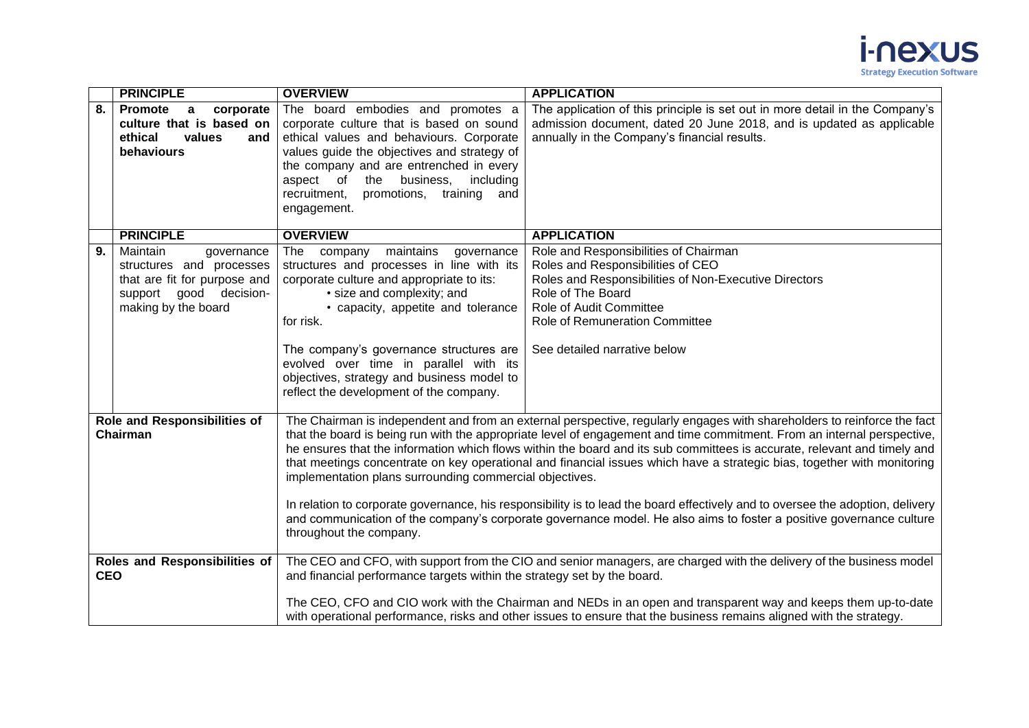

|                                                                                                                                                                                                                                                                                                                                                                | <b>PRINCIPLE</b>                                                                                                                    | <b>OVERVIEW</b>                                                                                                                                                                                                                                                                                                                                                                                                                                                                                                                                                                                                                                                                                                                                                                                                                                          | <b>APPLICATION</b>                                                                                                                                                                                                                                           |
|----------------------------------------------------------------------------------------------------------------------------------------------------------------------------------------------------------------------------------------------------------------------------------------------------------------------------------------------------------------|-------------------------------------------------------------------------------------------------------------------------------------|----------------------------------------------------------------------------------------------------------------------------------------------------------------------------------------------------------------------------------------------------------------------------------------------------------------------------------------------------------------------------------------------------------------------------------------------------------------------------------------------------------------------------------------------------------------------------------------------------------------------------------------------------------------------------------------------------------------------------------------------------------------------------------------------------------------------------------------------------------|--------------------------------------------------------------------------------------------------------------------------------------------------------------------------------------------------------------------------------------------------------------|
| 8.                                                                                                                                                                                                                                                                                                                                                             | Promote<br>corporate<br>$\overline{a}$<br>culture that is based on<br>ethical<br>values<br>and<br>behaviours                        | The board embodies and promotes a<br>corporate culture that is based on sound<br>ethical values and behaviours. Corporate<br>values guide the objectives and strategy of<br>the company and are entrenched in every<br>the business,<br>including<br>aspect of<br>recruitment,<br>promotions, training and<br>engagement.                                                                                                                                                                                                                                                                                                                                                                                                                                                                                                                                | The application of this principle is set out in more detail in the Company's<br>admission document, dated 20 June 2018, and is updated as applicable<br>annually in the Company's financial results.                                                         |
|                                                                                                                                                                                                                                                                                                                                                                | <b>PRINCIPLE</b>                                                                                                                    | <b>OVERVIEW</b>                                                                                                                                                                                                                                                                                                                                                                                                                                                                                                                                                                                                                                                                                                                                                                                                                                          | <b>APPLICATION</b>                                                                                                                                                                                                                                           |
| 9.                                                                                                                                                                                                                                                                                                                                                             | Maintain<br>governance<br>structures and processes<br>that are fit for purpose and<br>support good decision-<br>making by the board | The<br>maintains<br>company<br>governance<br>structures and processes in line with its<br>corporate culture and appropriate to its:<br>· size and complexity; and<br>• capacity, appetite and tolerance<br>for risk.<br>The company's governance structures are<br>evolved over time in parallel with its<br>objectives, strategy and business model to<br>reflect the development of the company.                                                                                                                                                                                                                                                                                                                                                                                                                                                       | Role and Responsibilities of Chairman<br>Roles and Responsibilities of CEO<br>Roles and Responsibilities of Non-Executive Directors<br>Role of The Board<br>Role of Audit Committee<br><b>Role of Remuneration Committee</b><br>See detailed narrative below |
| Role and Responsibilities of<br>Chairman                                                                                                                                                                                                                                                                                                                       |                                                                                                                                     | The Chairman is independent and from an external perspective, regularly engages with shareholders to reinforce the fact<br>that the board is being run with the appropriate level of engagement and time commitment. From an internal perspective,<br>he ensures that the information which flows within the board and its sub committees is accurate, relevant and timely and<br>that meetings concentrate on key operational and financial issues which have a strategic bias, together with monitoring<br>implementation plans surrounding commercial objectives.<br>In relation to corporate governance, his responsibility is to lead the board effectively and to oversee the adoption, delivery<br>and communication of the company's corporate governance model. He also aims to foster a positive governance culture<br>throughout the company. |                                                                                                                                                                                                                                                              |
| The CEO and CFO, with support from the CIO and senior managers, are charged with the delivery of the business model<br>Roles and Responsibilities of<br><b>CEO</b><br>and financial performance targets within the strategy set by the board.<br>The CEO, CFO and CIO work with the Chairman and NEDs in an open and transparent way and keeps them up-to-date |                                                                                                                                     |                                                                                                                                                                                                                                                                                                                                                                                                                                                                                                                                                                                                                                                                                                                                                                                                                                                          |                                                                                                                                                                                                                                                              |
|                                                                                                                                                                                                                                                                                                                                                                |                                                                                                                                     |                                                                                                                                                                                                                                                                                                                                                                                                                                                                                                                                                                                                                                                                                                                                                                                                                                                          | with operational performance, risks and other issues to ensure that the business remains aligned with the strategy.                                                                                                                                          |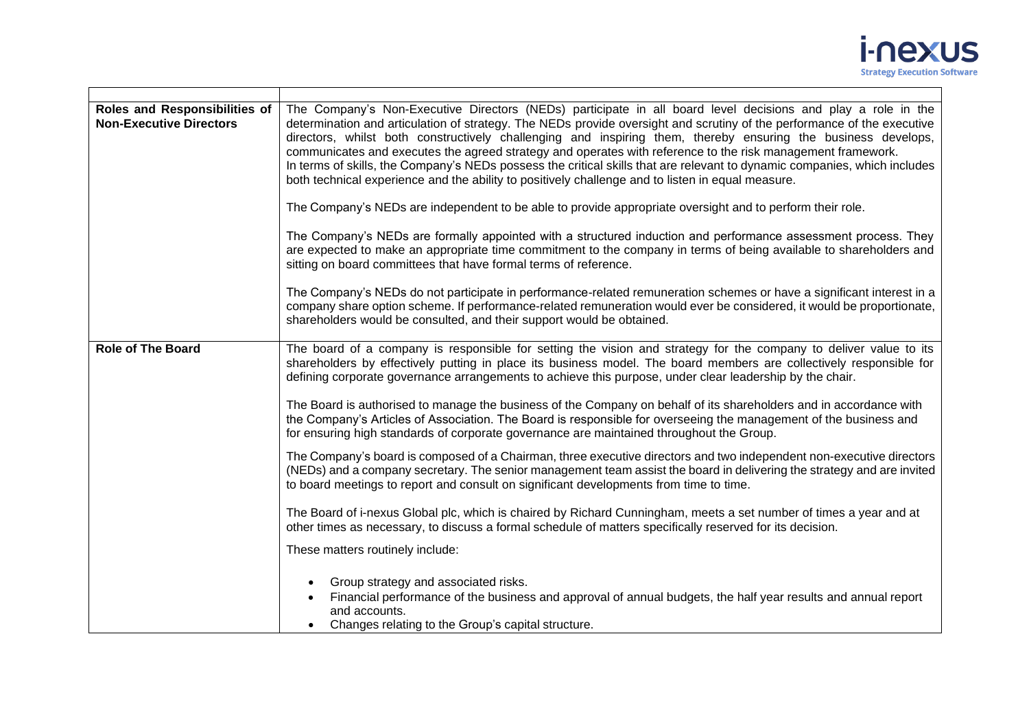

| Roles and Responsibilities of<br><b>Non-Executive Directors</b> | The Company's Non-Executive Directors (NEDs) participate in all board level decisions and play a role in the<br>determination and articulation of strategy. The NEDs provide oversight and scrutiny of the performance of the executive<br>directors, whilst both constructively challenging and inspiring them, thereby ensuring the business develops,<br>communicates and executes the agreed strategy and operates with reference to the risk management framework.<br>In terms of skills, the Company's NEDs possess the critical skills that are relevant to dynamic companies, which includes<br>both technical experience and the ability to positively challenge and to listen in equal measure.<br>The Company's NEDs are independent to be able to provide appropriate oversight and to perform their role. |  |
|-----------------------------------------------------------------|------------------------------------------------------------------------------------------------------------------------------------------------------------------------------------------------------------------------------------------------------------------------------------------------------------------------------------------------------------------------------------------------------------------------------------------------------------------------------------------------------------------------------------------------------------------------------------------------------------------------------------------------------------------------------------------------------------------------------------------------------------------------------------------------------------------------|--|
|                                                                 | The Company's NEDs are formally appointed with a structured induction and performance assessment process. They<br>are expected to make an appropriate time commitment to the company in terms of being available to shareholders and<br>sitting on board committees that have formal terms of reference.                                                                                                                                                                                                                                                                                                                                                                                                                                                                                                               |  |
|                                                                 | The Company's NEDs do not participate in performance-related remuneration schemes or have a significant interest in a<br>company share option scheme. If performance-related remuneration would ever be considered, it would be proportionate,<br>shareholders would be consulted, and their support would be obtained.                                                                                                                                                                                                                                                                                                                                                                                                                                                                                                |  |
| <b>Role of The Board</b>                                        | The board of a company is responsible for setting the vision and strategy for the company to deliver value to its<br>shareholders by effectively putting in place its business model. The board members are collectively responsible for<br>defining corporate governance arrangements to achieve this purpose, under clear leadership by the chair.                                                                                                                                                                                                                                                                                                                                                                                                                                                                   |  |
|                                                                 | The Board is authorised to manage the business of the Company on behalf of its shareholders and in accordance with<br>the Company's Articles of Association. The Board is responsible for overseeing the management of the business and<br>for ensuring high standards of corporate governance are maintained throughout the Group.                                                                                                                                                                                                                                                                                                                                                                                                                                                                                    |  |
|                                                                 | The Company's board is composed of a Chairman, three executive directors and two independent non-executive directors<br>(NEDs) and a company secretary. The senior management team assist the board in delivering the strategy and are invited<br>to board meetings to report and consult on significant developments from time to time.                                                                                                                                                                                                                                                                                                                                                                                                                                                                               |  |
|                                                                 | The Board of i-nexus Global plc, which is chaired by Richard Cunningham, meets a set number of times a year and at<br>other times as necessary, to discuss a formal schedule of matters specifically reserved for its decision.                                                                                                                                                                                                                                                                                                                                                                                                                                                                                                                                                                                        |  |
|                                                                 | These matters routinely include:                                                                                                                                                                                                                                                                                                                                                                                                                                                                                                                                                                                                                                                                                                                                                                                       |  |
|                                                                 | Group strategy and associated risks.<br>Financial performance of the business and approval of annual budgets, the half year results and annual report<br>and accounts.<br>Changes relating to the Group's capital structure.                                                                                                                                                                                                                                                                                                                                                                                                                                                                                                                                                                                           |  |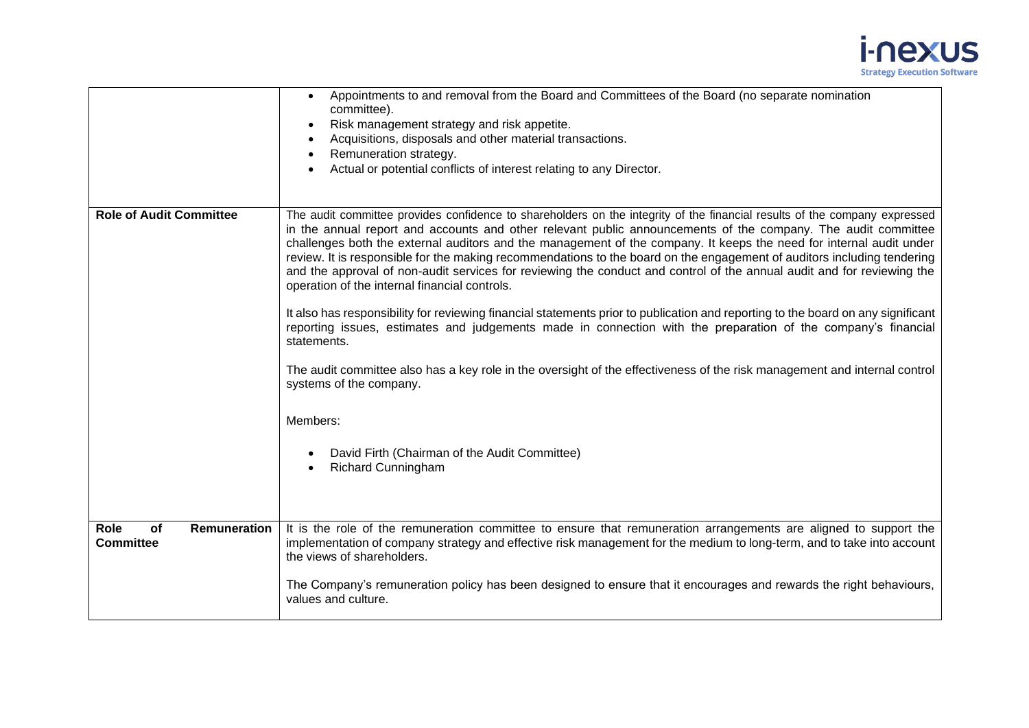

|                                                | Appointments to and removal from the Board and Committees of the Board (no separate nomination<br>committee).<br>Risk management strategy and risk appetite.<br>$\bullet$<br>Acquisitions, disposals and other material transactions.<br>$\bullet$<br>Remuneration strategy.<br>Actual or potential conflicts of interest relating to any Director.                                                                                                                                                                                                                                                                                                                                                                                                                                                          |
|------------------------------------------------|--------------------------------------------------------------------------------------------------------------------------------------------------------------------------------------------------------------------------------------------------------------------------------------------------------------------------------------------------------------------------------------------------------------------------------------------------------------------------------------------------------------------------------------------------------------------------------------------------------------------------------------------------------------------------------------------------------------------------------------------------------------------------------------------------------------|
| <b>Role of Audit Committee</b>                 | The audit committee provides confidence to shareholders on the integrity of the financial results of the company expressed<br>in the annual report and accounts and other relevant public announcements of the company. The audit committee<br>challenges both the external auditors and the management of the company. It keeps the need for internal audit under<br>review. It is responsible for the making recommendations to the board on the engagement of auditors including tendering<br>and the approval of non-audit services for reviewing the conduct and control of the annual audit and for reviewing the<br>operation of the internal financial controls.<br>It also has responsibility for reviewing financial statements prior to publication and reporting to the board on any significant |
|                                                | reporting issues, estimates and judgements made in connection with the preparation of the company's financial<br>statements.<br>The audit committee also has a key role in the oversight of the effectiveness of the risk management and internal control<br>systems of the company.                                                                                                                                                                                                                                                                                                                                                                                                                                                                                                                         |
|                                                | Members:<br>David Firth (Chairman of the Audit Committee)<br><b>Richard Cunningham</b>                                                                                                                                                                                                                                                                                                                                                                                                                                                                                                                                                                                                                                                                                                                       |
|                                                |                                                                                                                                                                                                                                                                                                                                                                                                                                                                                                                                                                                                                                                                                                                                                                                                              |
| Role<br>of<br>Remuneration<br><b>Committee</b> | It is the role of the remuneration committee to ensure that remuneration arrangements are aligned to support the<br>implementation of company strategy and effective risk management for the medium to long-term, and to take into account<br>the views of shareholders.                                                                                                                                                                                                                                                                                                                                                                                                                                                                                                                                     |
|                                                | The Company's remuneration policy has been designed to ensure that it encourages and rewards the right behaviours,<br>values and culture.                                                                                                                                                                                                                                                                                                                                                                                                                                                                                                                                                                                                                                                                    |